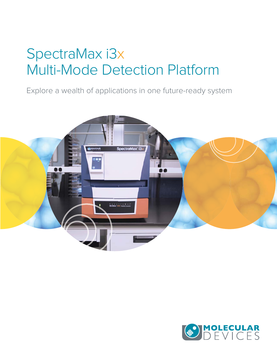# SpectraMax i3x Multi-Mode Detection Platform

Explore a wealth of applications in one future-ready system



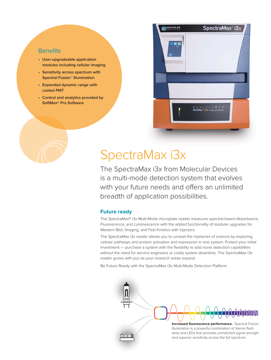## **Benefits**

- **User-upgradeable application modules including cellular imaging**
- **Sensitivity across spectrum with Spectral Fusion™ Illumination**
- **Expanded dynamic range with cooled PMT**
- **Control and analytics provided by SoftMax® Pro Software**



## SpectraMax i3x

The SpectraMax i3x from Molecular Devices is a multi-mode detection system that evolves with your future needs and offers an unlimited breadth of application possibilities.

### **Future ready**

The SpectraMax**®** i3x Multi-Mode microplate reader measures spectral-based Absorbance, Fluorescence, and Luminescence with the added functionality of modular upgrades for Western Blot, Imaging, and Fast Kinetics with Injectors.

The SpectraMax i3x reader allows you to unravel the mysteries of science by exploring cellular pathways and protein activation and expression in one system. Protect your initial investment — purchase a system with the flexibility to add novel detection capabilities without the need for service engineers or costly system downtime. The SpectraMax i3x reader grows with you as your research areas expand.

Be Future Ready with the SpectraMax i3x Multi-Mode Detection Platform.

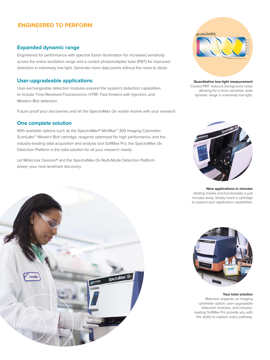## **ENGINEERED TO PERFORM**

## **Expanded dynamic range**

Engineered for performance with spectral fusion illumination for increased sensitivity across the entire excitation range and a cooled photomultiplier tube (PMT) for improved detection in extremely low light. Generate more data points without the need to dilute.

## **User-upgradeable applications**

User-exchangeable detection modules expand the system's detection capabilities to include Time-Resolved Fluorescence, HTRF, Fast Kinetics with Injectors, and Western Blot detection.

Future proof your discoveries and let the SpectraMax i3x reader evolve with your research.

## **One complete solution**

With available options such as the SpectraMax**®** MiniMax**™** 300 Imaging Cytometer, ScanLater**™** Western Blot cartridge, reagents optimized for high performance, and the industry-leading data acquisition and analysis tool SoftMax Pro, the SpectraMax i3x Detection Platform is the total solution for all your research needs.

Let Molecular Devices**®** and the SpectraMax i3x Multi-Mode Detection Platform power your next landmark discovery.



**Quantitative low-light measurement** Cooled PMT reduces background noise allowing for a more sensitive, wide dynamic range in extremely low light.



**New applications in minutes** Adding modes and functionality is just minutes away. Simply insert a cartridge to expand your application capabilities.





#### **Your total solution**

Matched reagents, an imaging cytometer option, user-upgradable detection modules, and industryleading SoftMax Pro provide you with the ability to explore every pathway.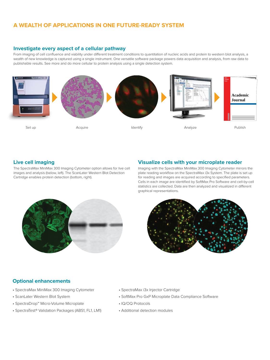## **A WEALTH OF APPLICATIONS IN ONE FUTURE-READY SYSTEM**

### **Investigate every aspect of a cellular pathway**

From imaging of cell confluence and viability under different treatment conditions to quantitation of nucleic acids and protein to western blot analysis, a wealth of new knowledge is captured using a single instrument. One versatile software package powers data acquisition and analysis, from raw data to publishable results. See more and do more cellular to protein analysis using a single detection system.



## **Live cell imaging**

The SpectraMax MiniMax 300 Imaging Cytometer option allows for live cell images and analysis (below, left). The ScanLater Western Blot Detection Cartridge enables protein detection (bottom, right).

## **Visualize cells with your microplate reader**

Imaging with the SpectraMax MiniMax 300 Imaging Cytometer mirrors the plate reading workflow on the SpectraMax i3x System. The plate is set up for reading and images are acquired according to specified parameters. Cells in each image are identified by SoftMax Pro Software and cell-by-cell statistics are collected. Data are then analyzed and visualized in different graphical representations.





## **Optional enhancements**

- SpectraMax MiniMax 300 Imaging Cytometer
- ScanLater Western Blot System
- SpectraDrop™ Micro-Volume Microplate
- SpectraTest® Validation Packages (ABS1, FL1, LM1)
- SpectraMax i3x Injector Cartridge
- SoftMax Pro GxP Microplate Data Compliance Software
- IQ/OQ Protocols
- Additional detection modules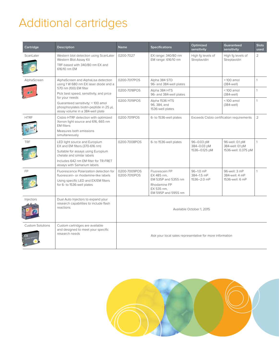# Additional cartridges

| Cartridge               | <b>Description</b>                                                                                                                                                                                                                                                                      | <b>Name</b>                                              | <b>Specifications</b>                                                                                    | Optimized<br>sensitivity                                    | Guaranteed<br>sensitivity                                  | <b>Slots</b><br>used |
|-------------------------|-----------------------------------------------------------------------------------------------------------------------------------------------------------------------------------------------------------------------------------------------------------------------------------------|----------------------------------------------------------|----------------------------------------------------------------------------------------------------------|-------------------------------------------------------------|------------------------------------------------------------|----------------------|
| ScanLater               | Western blot detection using ScanLater<br>Western Blot Assay Kit<br>TRF-based with 340/80 nm EX and<br>616/10 nm EM                                                                                                                                                                     | 0200-7027                                                | EX range: 340/80 nm<br>EM range: 616/10 nm                                                               | High fg levels of<br>Streptavidin                           | High fg levels of<br>Streptavidin                          | $\overline{2}$       |
| AlphaScreen             | AlphaScreen and AlphaLisa detection<br>using 1 W 680 nm EX laser diode and a<br>570 nm (100) EM filter<br>Pick best speed, sensitivity, and price<br>for your needs<br>Guaranteed sensitivity: < 100 amol<br>phosphorylates biotin-peptide in 25 µL<br>assay volume in a 384-well plate | 0200-7017POS                                             | Alpha 384 STD<br>96- and 384-well plates                                                                 |                                                             | $<$ 100 amol<br>(384-well)                                 | 1                    |
|                         |                                                                                                                                                                                                                                                                                         | 0200-7018POS                                             | Alpha 384 HTS<br>96- and 384-well plates                                                                 |                                                             | $<$ 100 amol<br>(384-well)                                 | $\mathbf{1}$         |
|                         |                                                                                                                                                                                                                                                                                         | 0200-7019POS                                             | Alpha 1536 HTS<br>96, 384, and<br>1536-well plates                                                       |                                                             | $<$ 100 amol<br>(384-well)                                 | $\mathbf{1}$         |
| <b>HTRF</b>             | Cisbio HTRF detection with optimized<br>Xenon light source and 616, 665 nm<br><b>FM filters</b>                                                                                                                                                                                         | 0200-7011POS                                             | 6- to 1536-well plates                                                                                   | Exceeds Cisbio certification requirements<br>$\overline{2}$ |                                                            |                      |
|                         | Measures both emissions<br>simultaneously                                                                                                                                                                                                                                               |                                                          |                                                                                                          |                                                             |                                                            |                      |
| <b>TRF</b>              | LED light source and Europium<br>EX and EM filters (370-616 nm)<br>Suitable for assays using Europium<br>chelate and similar labels<br>Includes 642 nm EM filter for TR-FRET<br>assays with Samarium labels                                                                             | 0200-7008POS                                             | 6- to 1536-well plates                                                                                   | 96-0.03 pM<br>384-0.03 pM<br>1536-0.125 pM                  | 96-well: 0.1 pM<br>384-well: 0.1 pM<br>1536-well: 0.375 pM | $\mathbf{1}$         |
| <b>FP</b>               | Fluorescence Polarization detection for<br>fluorescein- or rhodamine-like labels<br>Using specific LED and EX/EM filters<br>for 6- to 1536-well plates                                                                                                                                  | 0200-7009POS<br>0200-7010POS                             | Fluorescein FP<br>EX 485 nm.<br>EM 535P and 535S nm<br>Rhodamine FP<br>EX 535 nm,<br>EM 595P and 595S nm | 96-1.0 mP<br>384-1.5 mP<br>1536-2.0 mP                      | 96-well: 3 mP<br>384-well: 4 mP<br>1536-well: 6 mP         | $\mathbf{1}$         |
| Injectors               | Dual Auto Injectors to expand your<br>research capabilities to include flash<br>reactions                                                                                                                                                                                               | Available October 1, 2015                                |                                                                                                          |                                                             |                                                            |                      |
| <b>Custom Solutions</b> | Custom cartridges are available<br>and designed to meet your specific<br>research needs                                                                                                                                                                                                 | Ask your local sales representative for more information |                                                                                                          |                                                             |                                                            |                      |